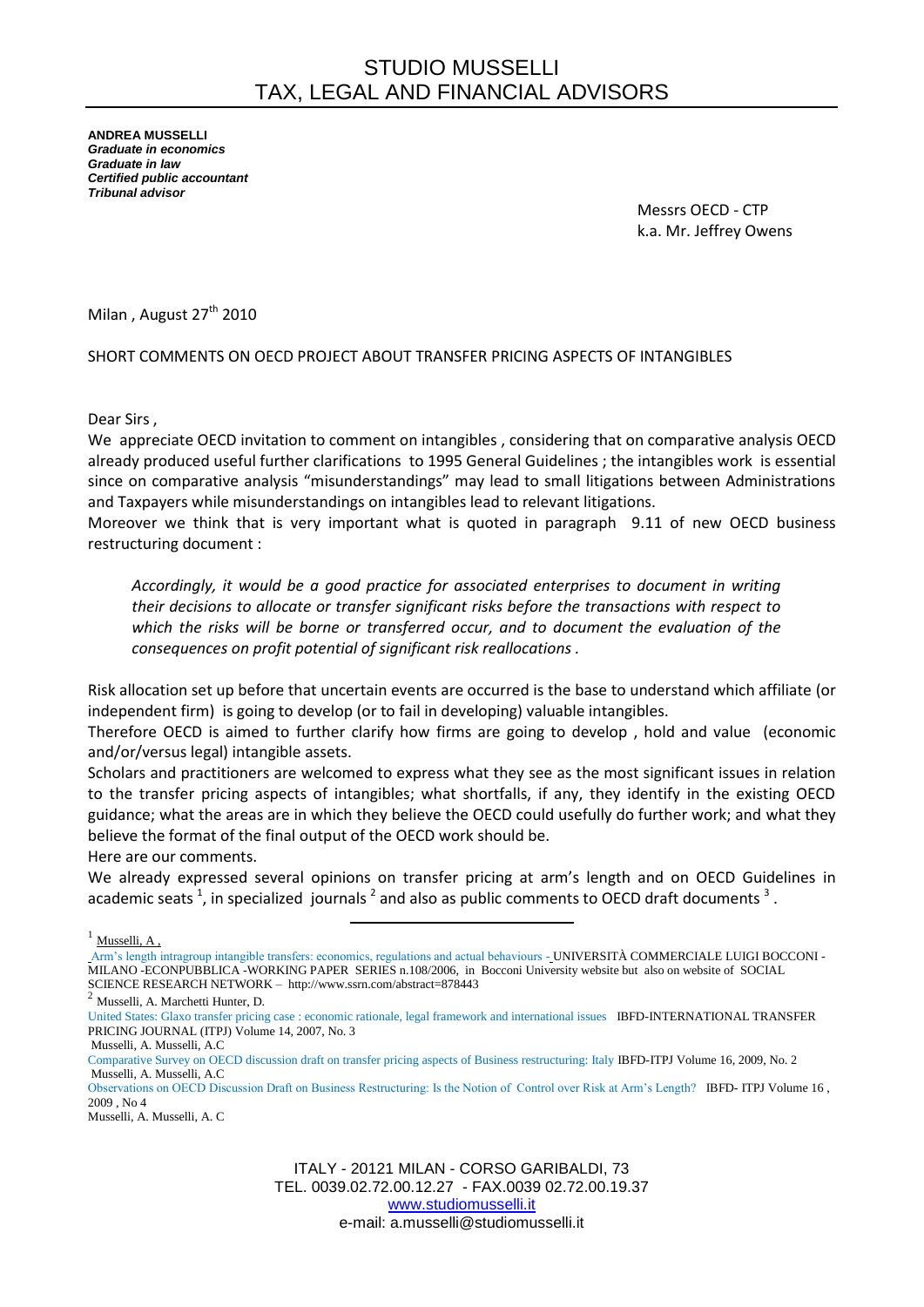**ANDREA MUSSELLI** *Graduate in economics Graduate in law Certified public accountant Tribunal advisor*

> Messrs OECD - CTP k.a. Mr. Jeffrey Owens

Milan, August 27<sup>th</sup> 2010

## SHORT COMMENTS ON OECD PROJECT ABOUT TRANSFER PRICING ASPECTS OF INTANGIBLES

Dear Sirs ,

We appreciate OECD invitation to comment on intangibles , considering that on comparative analysis OECD already produced useful further clarifications to 1995 General Guidelines ; the intangibles work is essential since on comparative analysis "misunderstandings" may lead to small litigations between Administrations and Taxpayers while misunderstandings on intangibles lead to relevant litigations.

Moreover we think that is very important what is quoted in paragraph 9.11 of new OECD business restructuring document :

*Accordingly, it would be a good practice for associated enterprises to document in writing their decisions to allocate or transfer significant risks before the transactions with respect to which the risks will be borne or transferred occur, and to document the evaluation of the consequences on profit potential of significant risk reallocations .*

Risk allocation set up before that uncertain events are occurred is the base to understand which affiliate (or independent firm) is going to develop (or to fail in developing) valuable intangibles.

Therefore OECD is aimed to further clarify how firms are going to develop , hold and value (economic and/or/versus legal) intangible assets.

Scholars and practitioners are welcomed to express what they see as the most significant issues in relation to the transfer pricing aspects of intangibles; what shortfalls, if any, they identify in the existing OECD guidance; what the areas are in which they believe the OECD could usefully do further work; and what they believe the format of the final output of the OECD work should be.

Here are our comments.

We already expressed several opinions on transfer pricing at arm's length and on OECD Guidelines in academic seats <sup>1</sup>, in specialized journals  $^2$  and also as public comments to OECD draft documents  $^3$ .

 $1$  Musselli, A,

Arm's length intragroup intangible transfers: economics, regulations and actual behaviours - UNIVERSITÀ COMMERCIALE LUIGI BOCCONI - MILANO -ECONPUBBLICA -WORKING PAPER SERIES n.108/2006, in Bocconi University website but also on website of SOCIAL SCIENCE RESEARCH NETWORK – http://www.ssrn.com/abstract=878443<br>  $\frac{2 \text{ M}_{\text{NCS-1}}}{2}$ 

 $\overline{\phantom{a}}$ 

<sup>2</sup> Musselli, A. Marchetti Hunter, D.

[United States: Glaxo transfer pricing case : economic rationale, legal framework and international issues](http://online2.ibfd.org/data/journal/docs/pdf/itpj/2007/issue03/itpj070302.pdf) IBFD-INTERNATIONAL TRANSFER PRICING JOURNAL (ITPJ) Volume 14, 2007, No. 3

Musselli, A. Musselli, A.C

Observations on OECD Discussion Draft on Business Restructuring: Is the Notion of Control over Risk at Arm's Length? IBFD- ITPJ Volume 16 ,  $2009$  No. 4

Musselli, A. Musselli, A. C

Comparative Survey on OECD discussion draft on transfer pricing aspects of Business restructuring: Italy IBFD-ITPJ Volume 16, 2009, No. 2 Musselli, A. Musselli, A.C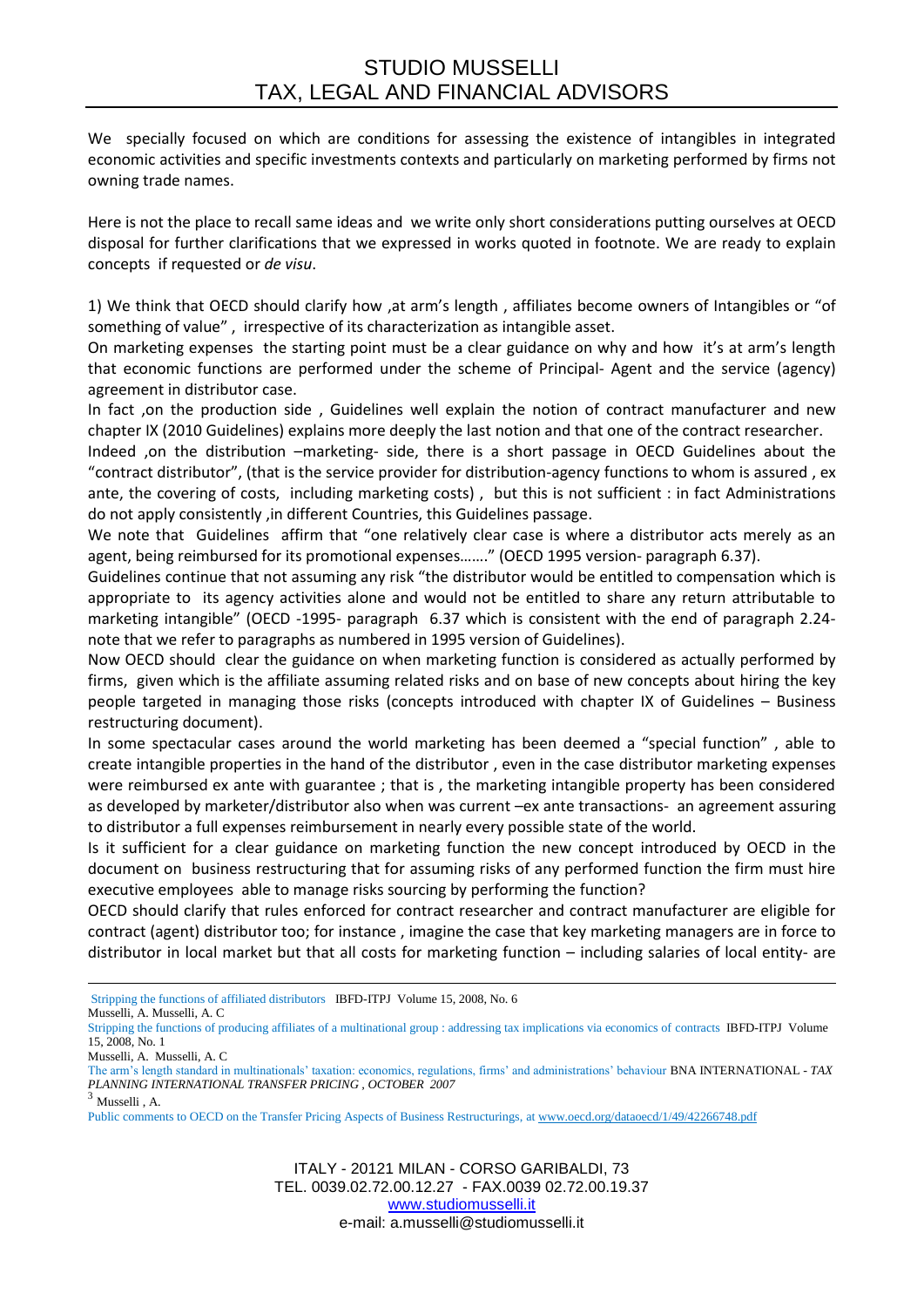We specially focused on which are conditions for assessing the existence of intangibles in integrated economic activities and specific investments contexts and particularly on marketing performed by firms not owning trade names.

Here is not the place to recall same ideas and we write only short considerations putting ourselves at OECD disposal for further clarifications that we expressed in works quoted in footnote. We are ready to explain concepts if requested or *de visu*.

1) We think that OECD should clarify how ,at arm's length , affiliates become owners of Intangibles or "of something of value" , irrespective of its characterization as intangible asset.

On marketing expenses the starting point must be a clear guidance on why and how it's at arm's length that economic functions are performed under the scheme of Principal- Agent and the service (agency) agreement in distributor case.

In fact ,on the production side , Guidelines well explain the notion of contract manufacturer and new chapter IX (2010 Guidelines) explains more deeply the last notion and that one of the contract researcher.

Indeed ,on the distribution –marketing- side, there is a short passage in OECD Guidelines about the "contract distributor", (that is the service provider for distribution-agency functions to whom is assured , ex ante, the covering of costs, including marketing costs) , but this is not sufficient : in fact Administrations do not apply consistently ,in different Countries, this Guidelines passage.

We note that Guidelines affirm that "one relatively clear case is where a distributor acts merely as an agent, being reimbursed for its promotional expenses……." (OECD 1995 version- paragraph 6.37).

Guidelines continue that not assuming any risk "the distributor would be entitled to compensation which is appropriate to its agency activities alone and would not be entitled to share any return attributable to marketing intangible" (OECD -1995- paragraph 6.37 which is consistent with the end of paragraph 2.24 note that we refer to paragraphs as numbered in 1995 version of Guidelines).

Now OECD should clear the guidance on when marketing function is considered as actually performed by firms, given which is the affiliate assuming related risks and on base of new concepts about hiring the key people targeted in managing those risks (concepts introduced with chapter IX of Guidelines – Business restructuring document).

In some spectacular cases around the world marketing has been deemed a "special function" , able to create intangible properties in the hand of the distributor , even in the case distributor marketing expenses were reimbursed ex ante with guarantee ; that is , the marketing intangible property has been considered as developed by marketer/distributor also when was current –ex ante transactions- an agreement assuring to distributor a full expenses reimbursement in nearly every possible state of the world.

Is it sufficient for a clear guidance on marketing function the new concept introduced by OECD in the document on business restructuring that for assuming risks of any performed function the firm must hire executive employees able to manage risks sourcing by performing the function?

OECD should clarify that rules enforced for contract researcher and contract manufacturer are eligible for contract (agent) distributor too; for instance , imagine the case that key marketing managers are in force to distributor in local market but that all costs for marketing function – including salaries of local entity- are

**.** [Stripping the functions of affiliated distributors](http://online2.ibfd.org/data/journal/docs/pdf/itpj/2008/issue06/itpj080602.pdf) IBFD-ITPJ Volume 15, 2008, No. 6

Musselli, A. Musselli, A. C

[Stripping the functions of producing affiliates of a multinational group : addressing tax implications via economics of contracts](http://online2.ibfd.org/data/journal/docs/pdf/itpj/2008/issue01/itpj080102.pdf) IBFD-ITPJ Volume 15, 2008, No. 1

Musselli, A. Musselli, A. C

The arm's length standard in multinationals' taxation: economics, regulations, firms' and administrations' behaviour BNA INTERNATIONAL - *TAX PLANNING INTERNATIONAL TRANSFER PRICING , OCTOBER 2007*

 $3$  Musselli, A.

Public comments to OECD on the Transfer Pricing Aspects of Business Restructurings, at [www.oecd.org/dataoecd/1/49/42266748.pdf](http://www.oecd.org/dataoecd/1/49/42266748.pdf)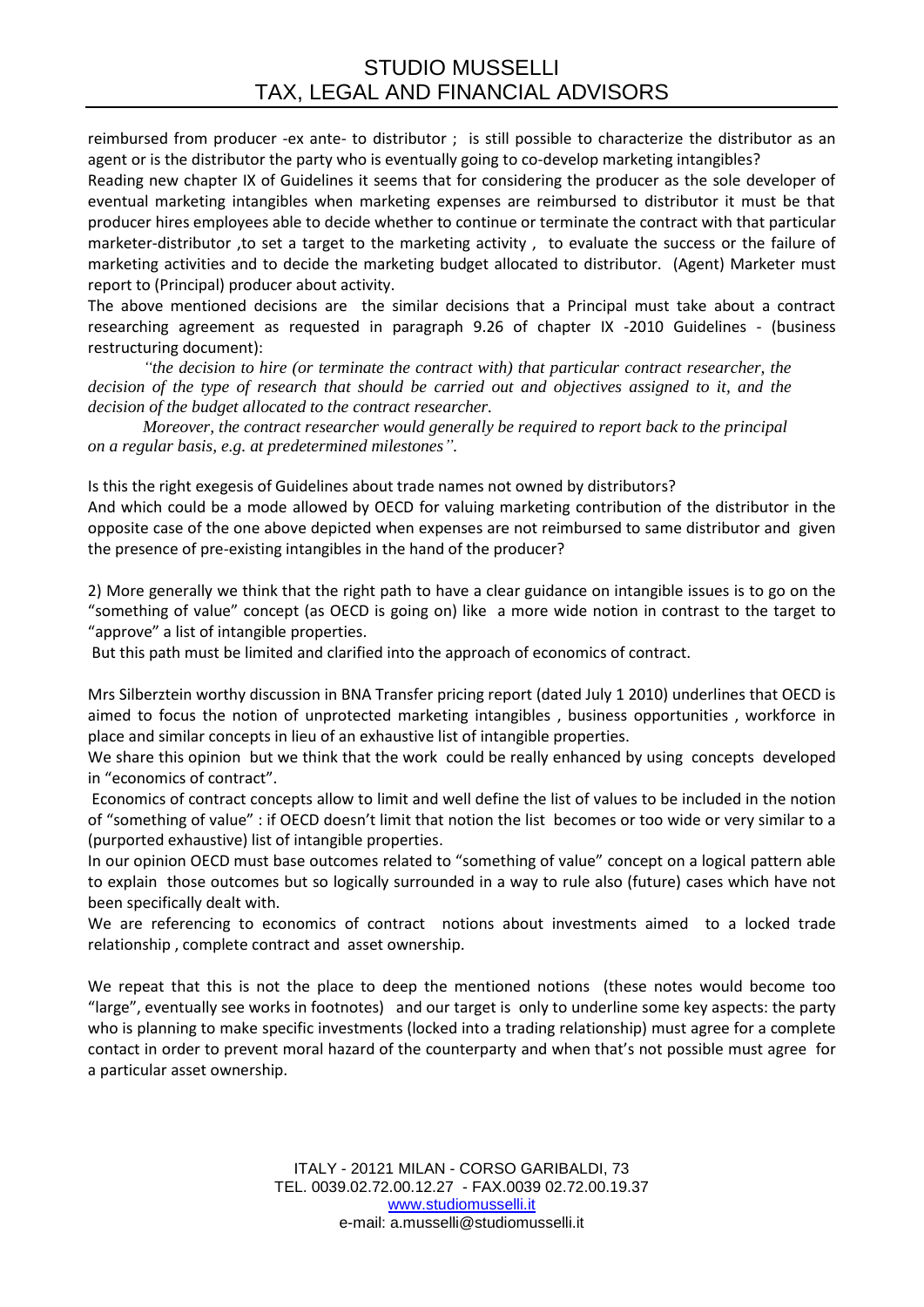reimbursed from producer -ex ante- to distributor ; is still possible to characterize the distributor as an agent or is the distributor the party who is eventually going to co-develop marketing intangibles?

Reading new chapter IX of Guidelines it seems that for considering the producer as the sole developer of eventual marketing intangibles when marketing expenses are reimbursed to distributor it must be that producer hires employees able to decide whether to continue or terminate the contract with that particular marketer-distributor ,to set a target to the marketing activity , to evaluate the success or the failure of marketing activities and to decide the marketing budget allocated to distributor. (Agent) Marketer must report to (Principal) producer about activity.

The above mentioned decisions are the similar decisions that a Principal must take about a contract researching agreement as requested in paragraph 9.26 of chapter IX -2010 Guidelines - (business restructuring document):

*"the decision to hire (or terminate the contract with) that particular contract researcher, the decision of the type of research that should be carried out and objectives assigned to it, and the decision of the budget allocated to the contract researcher.*

*Moreover, the contract researcher would generally be required to report back to the principal on a regular basis, e.g. at predetermined milestones".*

Is this the right exegesis of Guidelines about trade names not owned by distributors? And which could be a mode allowed by OECD for valuing marketing contribution of the distributor in the opposite case of the one above depicted when expenses are not reimbursed to same distributor and given the presence of pre-existing intangibles in the hand of the producer?

2) More generally we think that the right path to have a clear guidance on intangible issues is to go on the "something of value" concept (as OECD is going on) like a more wide notion in contrast to the target to "approve" a list of intangible properties.

But this path must be limited and clarified into the approach of economics of contract.

Mrs Silberztein worthy discussion in BNA Transfer pricing report (dated July 1 2010) underlines that OECD is aimed to focus the notion of unprotected marketing intangibles , business opportunities , workforce in place and similar concepts in lieu of an exhaustive list of intangible properties.

We share this opinion but we think that the work could be really enhanced by using concepts developed in "economics of contract".

Economics of contract concepts allow to limit and well define the list of values to be included in the notion of "something of value" : if OECD doesn't limit that notion the list becomes or too wide or very similar to a (purported exhaustive) list of intangible properties.

In our opinion OECD must base outcomes related to "something of value" concept on a logical pattern able to explain those outcomes but so logically surrounded in a way to rule also (future) cases which have not been specifically dealt with.

We are referencing to economics of contract notions about investments aimed to a locked trade relationship , complete contract and asset ownership.

We repeat that this is not the place to deep the mentioned notions (these notes would become too "large", eventually see works in footnotes) and our target is only to underline some key aspects: the party who is planning to make specific investments (locked into a trading relationship) must agree for a complete contact in order to prevent moral hazard of the counterparty and when that's not possible must agree for a particular asset ownership.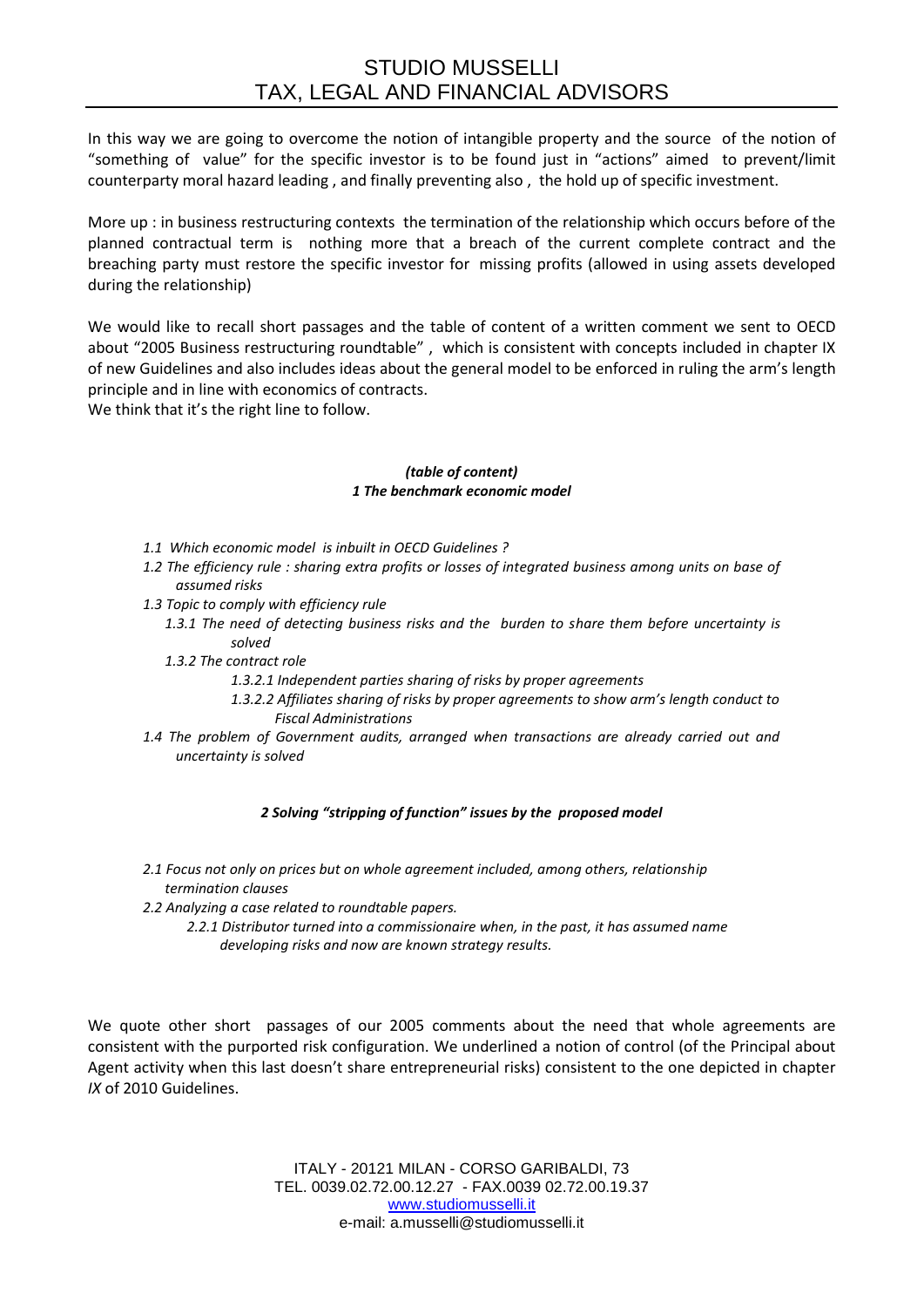In this way we are going to overcome the notion of intangible property and the source of the notion of "something of value" for the specific investor is to be found just in "actions" aimed to prevent/limit counterparty moral hazard leading , and finally preventing also , the hold up of specific investment.

More up : in business restructuring contexts the termination of the relationship which occurs before of the planned contractual term is nothing more that a breach of the current complete contract and the breaching party must restore the specific investor for missing profits (allowed in using assets developed during the relationship)

We would like to recall short passages and the table of content of a written comment we sent to OECD about "2005 Business restructuring roundtable" , which is consistent with concepts included in chapter IX of new Guidelines and also includes ideas about the general model to be enforced in ruling the arm's length principle and in line with economics of contracts.

We think that it's the right line to follow.

## *(table of content) 1 The benchmark economic model*

- *1.1 Which economic model is inbuilt in OECD Guidelines ?*
- *1.2 The efficiency rule : sharing extra profits or losses of integrated business among units on base of assumed risks*
- *1.3 Topic to comply with efficiency rule*
	- *1.3.1 The need of detecting business risks and the burden to share them before uncertainty is solved*
	- *1.3.2 The contract role*
		- *1.3.2.1 Independent parties sharing of risks by proper agreements*
		- *1.3.2.2 Affiliates sharing of risks by proper agreements to show arm's length conduct to Fiscal Administrations*
- *1.4 The problem of Government audits, arranged when transactions are already carried out and uncertainty is solved*

## *2 Solving "stripping of function" issues by the proposed model*

- *2.1 Focus not only on prices but on whole agreement included, among others, relationship termination clauses*
- *2.2 Analyzing a case related to roundtable papers.*
	- *2.2.1 Distributor turned into a commissionaire when, in the past, it has assumed name developing risks and now are known strategy results.*

We quote other short passages of our 2005 comments about the need that whole agreements are consistent with the purported risk configuration. We underlined a notion of control (of the Principal about Agent activity when this last doesn't share entrepreneurial risks) consistent to the one depicted in chapter *IX* of 2010 Guidelines.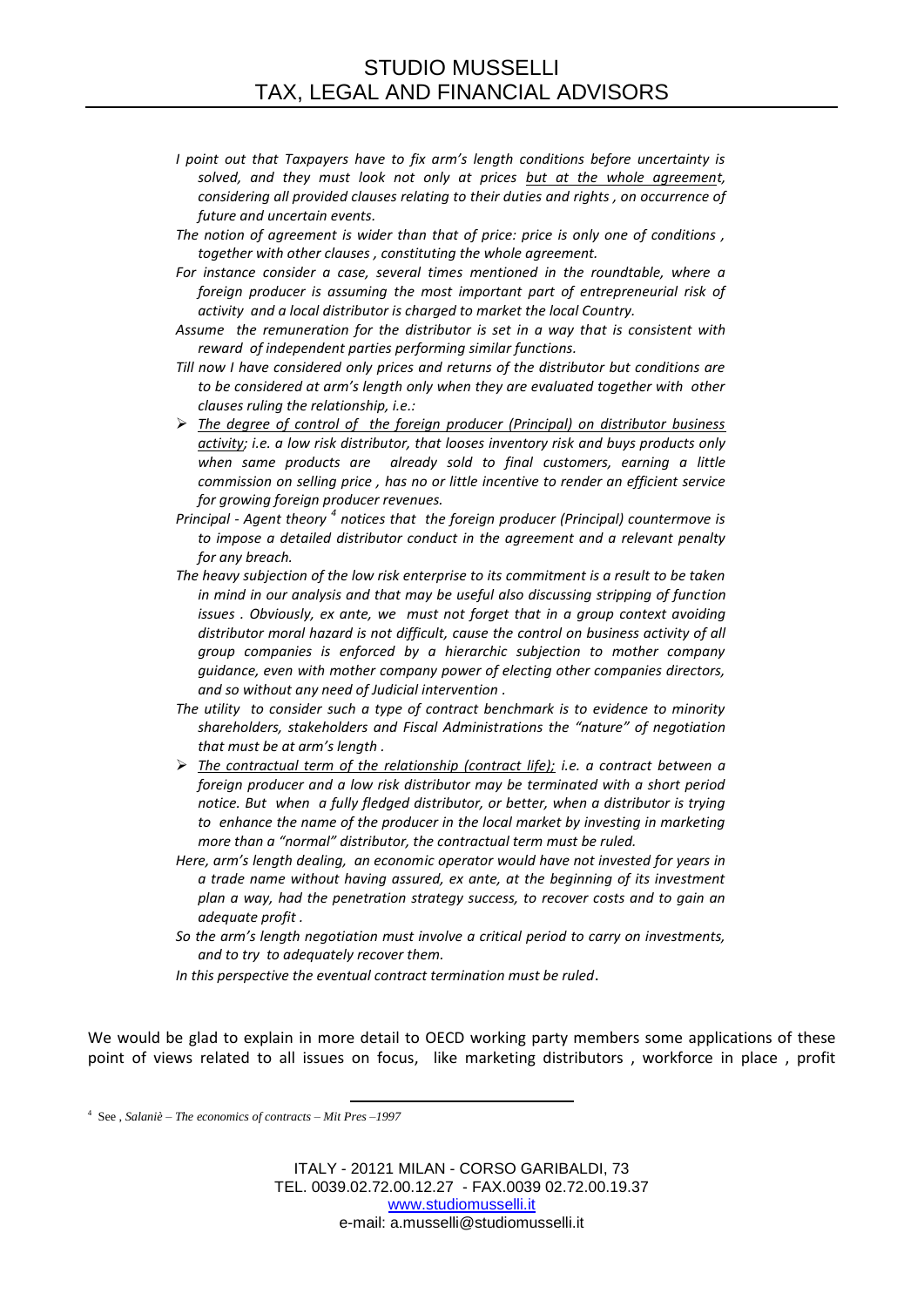- *I point out that Taxpayers have to fix arm's length conditions before uncertainty is solved, and they must look not only at prices but at the whole agreement, considering all provided clauses relating to their duties and rights , on occurrence of future and uncertain events.*
- *The notion of agreement is wider than that of price: price is only one of conditions , together with other clauses , constituting the whole agreement.*
- *For instance consider a case, several times mentioned in the roundtable, where a foreign producer is assuming the most important part of entrepreneurial risk of activity and a local distributor is charged to market the local Country.*
- *Assume the remuneration for the distributor is set in a way that is consistent with reward of independent parties performing similar functions.*
- *Till now I have considered only prices and returns of the distributor but conditions are to be considered at arm's length only when they are evaluated together with other clauses ruling the relationship, i.e.:*
- *The degree of control of the foreign producer (Principal) on distributor business activity; i.e. a low risk distributor, that looses inventory risk and buys products only when same products are already sold to final customers, earning a little commission on selling price , has no or little incentive to render an efficient service for growing foreign producer revenues.*
- *Principal - Agent theory <sup>4</sup> notices that the foreign producer (Principal) countermove is to impose a detailed distributor conduct in the agreement and a relevant penalty for any breach.*
- *The heavy subjection of the low risk enterprise to its commitment is a result to be taken in mind in our analysis and that may be useful also discussing stripping of function issues . Obviously, ex ante, we must not forget that in a group context avoiding distributor moral hazard is not difficult, cause the control on business activity of all group companies is enforced by a hierarchic subjection to mother company guidance, even with mother company power of electing other companies directors, and so without any need of Judicial intervention .*
- *The utility to consider such a type of contract benchmark is to evidence to minority shareholders, stakeholders and Fiscal Administrations the "nature" of negotiation that must be at arm's length .*
- *The contractual term of the relationship (contract life); i.e. a contract between a foreign producer and a low risk distributor may be terminated with a short period notice. But when a fully fledged distributor, or better, when a distributor is trying*  to enhance the name of the producer in the local market by investing in marketing *more than a "normal" distributor, the contractual term must be ruled.*
- *Here, arm's length dealing, an economic operator would have not invested for years in a trade name without having assured, ex ante, at the beginning of its investment plan a way, had the penetration strategy success, to recover costs and to gain an adequate profit .*
- *So the arm's length negotiation must involve a critical period to carry on investments, and to try to adequately recover them.*
- *In this perspective the eventual contract termination must be ruled*.

We would be glad to explain in more detail to OECD working party members some applications of these point of views related to all issues on focus, like marketing distributors , workforce in place , profit

l 4 See , *Salaniè – The economics of contracts – Mit Pres –1997*